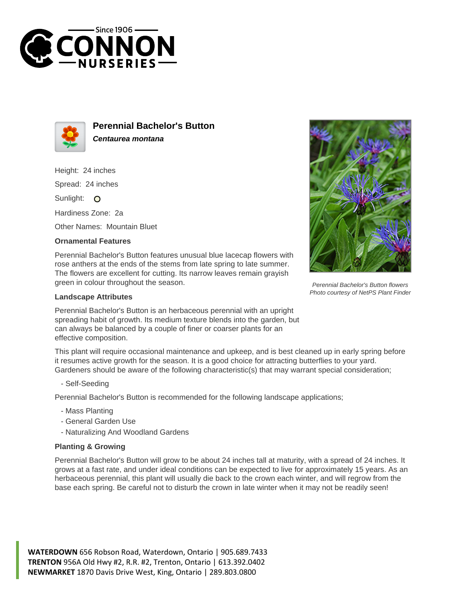



**Perennial Bachelor's Button Centaurea montana**

Height: 24 inches

Spread: 24 inches

Sunlight: O

Hardiness Zone: 2a

Other Names: Mountain Bluet

## **Ornamental Features**

Perennial Bachelor's Button features unusual blue lacecap flowers with rose anthers at the ends of the stems from late spring to late summer. The flowers are excellent for cutting. Its narrow leaves remain grayish green in colour throughout the season.

## **Landscape Attributes**

Perennial Bachelor's Button is an herbaceous perennial with an upright spreading habit of growth. Its medium texture blends into the garden, but can always be balanced by a couple of finer or coarser plants for an effective composition.

This plant will require occasional maintenance and upkeep, and is best cleaned up in early spring before it resumes active growth for the season. It is a good choice for attracting butterflies to your yard. Gardeners should be aware of the following characteristic(s) that may warrant special consideration;

- Self-Seeding

Perennial Bachelor's Button is recommended for the following landscape applications;

- Mass Planting
- General Garden Use
- Naturalizing And Woodland Gardens

## **Planting & Growing**

Perennial Bachelor's Button will grow to be about 24 inches tall at maturity, with a spread of 24 inches. It grows at a fast rate, and under ideal conditions can be expected to live for approximately 15 years. As an herbaceous perennial, this plant will usually die back to the crown each winter, and will regrow from the base each spring. Be careful not to disturb the crown in late winter when it may not be readily seen!

**WATERDOWN** 656 Robson Road, Waterdown, Ontario | 905.689.7433 **TRENTON** 956A Old Hwy #2, R.R. #2, Trenton, Ontario | 613.392.0402 **NEWMARKET** 1870 Davis Drive West, King, Ontario | 289.803.0800



Perennial Bachelor's Button flowers Photo courtesy of NetPS Plant Finder